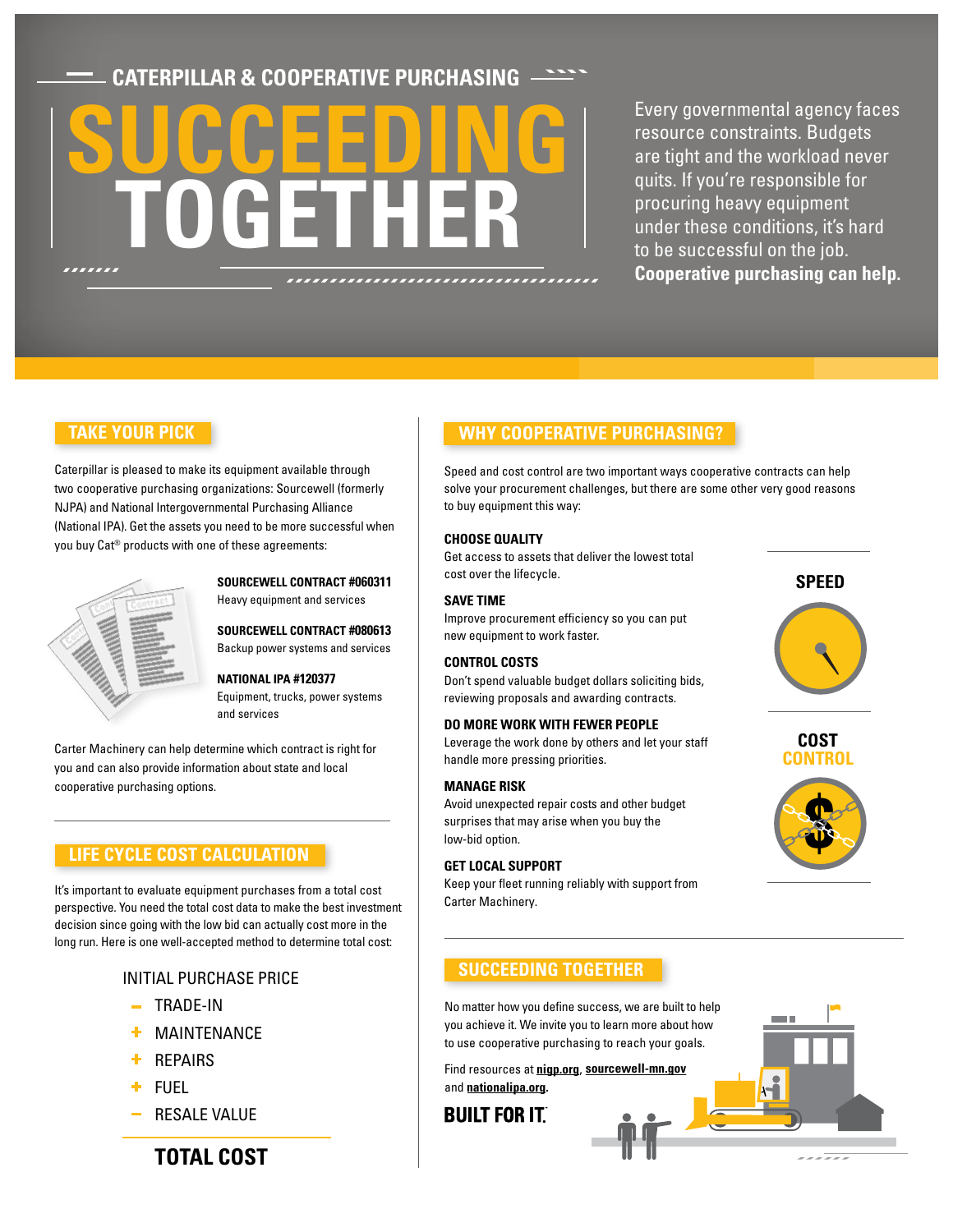**CATERPILLAR & COOPERATIVE PURCHASING**

# **SUCCETTLER TOGETHER SUCCEEDING TOGETHER**

are tight and the workload never quits. If you're responsible for procuring heavy equipment under these conditions, it's hard to be successful on the job. **Cooperative purchasing can help. Cooperative purchasing can help.** Every governmental agency faces resource constraints. Budgets

### **TAKE YOUR PICK**

Caterpillar is pleased to make its equipment available through two cooperative purchasing organizations: Sourcewell (formerly NJPA) and National Intergovernmental Purchasing Alliance (National IPA). Get the assets you need to be more successful when you buy Cat® products with one of these agreements:

| s | Contract |
|---|----------|
|   |          |
|   |          |
|   |          |

### **SOURCEWELL CONTRACT #060311** Heavy equipment and services

**SOURCEWELL CONTRACT #080613**  Backup power systems and services

#### **NATIONAL IPA #120377**

Equipment, trucks, power systems and services

Carter Machinery can help determine which contract is right for you and can also provide information about state and local cooperative purchasing options.

### **LIFE CYCLE COST CALCULATION**

It's important to evaluate equipment purchases from a total cost perspective. You need the total cost data to make the best investment decision since going with the low bid can actually cost more in the long run. Here is one well-accepted method to determine total cost:

### INITIAL PURCHASE PRICE

- $-$  TRADE-IN
- MAINTENANCE
- REPAIRS
- FUEL
- RESALE VALUE

**TOTAL COST**

### **WHY COOPERATIVE PURCHASING?**

Speed and cost control are two important ways cooperative contracts can help solve your procurement challenges, but there are some other very good reasons to buy equipment this way:

#### **CHOOSE QUALITY**

 Get access to assets that deliver the lowest total cost over the lifecycle.

#### **SAVE TIME**

Improve procurement efficiency so you can put new equipment to work faster.

#### **CONTROL COSTS**

Don't spend valuable budget dollars soliciting bids, reviewing proposals and awarding contracts.

#### **DO MORE WORK WITH FEWER PEOPLE**

Leverage the work done by others and let your staff handle more pressing priorities.

#### **MANAGE RISK**

Avoid unexpected repair costs and other budget surprises that may arise when you buy the low-bid option.

#### **GET LOCAL SUPPORT**

Keep your fleet running reliably with support from Carter Machinery.

**SPEED**

### **COST CONTROL**



 $\mathbf{r}$ 

-- --

### **SUCCEEDING TOGETHER**

No matter how you define success, we are built to help you achieve it. We invite you to learn more about how to use cooperative purchasing to reach your goals.

and **nationalipa.org.** Find resources at **nigp.org**, **sourcewell-mn.gov**

### **BUILT FOR IT**